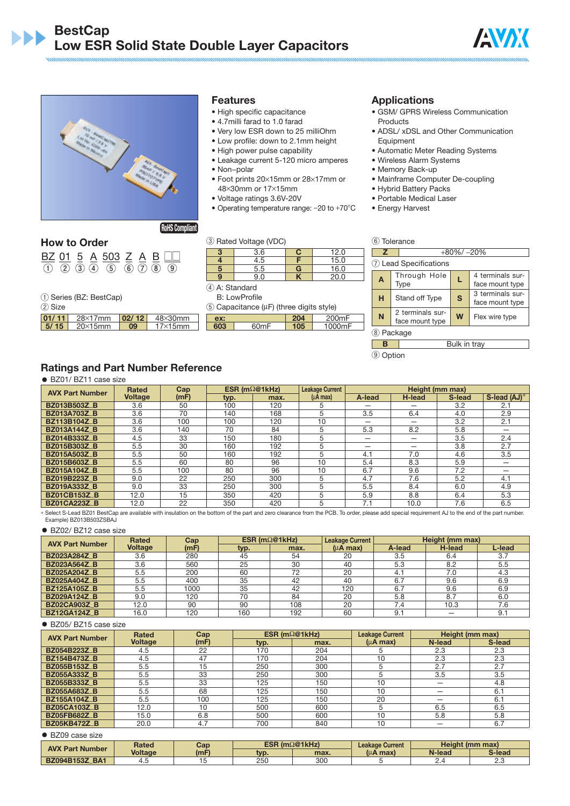



## **Features**

- High specific capacitance
- 4.7milli farad to 1.0 farad
- Very low ESR down to 25 milliOhm
- Low profile: down to 2.1mm height
- High power pulse capability
- Leakage current 5-120 micro amperes • Non−polar
- Foot prints 20×15mm or 28×17mm or 48×30mm or 17×15mm
- Voltage ratings 3.6V-20V
- Operating temperature range: -20 to +70°C

# Products

**Applications**

• ADSL/ xDSL and Other Communication Equipment

• GSM/ GPRS Wireless Communication

- Automatic Meter Reading Systems
- Wireless Alarm Systems
- Memory Back-up
- Mainframe Computer De-coupling
- Hybrid Battery Packs
- Portable Medical Laser
- Energy Harvest

⑥ Tolerance

## **How to Order**

|  |  | BZ 01 5 A 503 Z A B                                   |  |  |
|--|--|-------------------------------------------------------|--|--|
|  |  | $(1)$ $(2)$ $(3)$ $(4)$ $(5)$ $(6)$ $(7)$ $(8)$ $(9)$ |  |  |

① Series (BZ: BestCap)

② Size

| --    |                         |    |                 |
|-------|-------------------------|----|-----------------|
| 01/11 | $28\times17$ mm   02/12 |    | $48\times30$ mm |
| 5/15  | $20\times15$ mm         | 09 | $17\times15$ mm |

# ③ Rated Voltage (VDC)

| 3 | 3.6 | C | 12.0 |
|---|-----|---|------|
|   | 4.5 |   | 15.0 |
| 5 | 5.5 | G | 16.0 |
|   | 9.0 |   | 20.0 |
| ∼ |     |   |      |

④ A: Standard B: LowProfile

style)

| 7                                                                     |                         | $+80\% / -20\%$ |                                     |  |  |  |  |
|-----------------------------------------------------------------------|-------------------------|-----------------|-------------------------------------|--|--|--|--|
|                                                                       | (7) Lead Specifications |                 |                                     |  |  |  |  |
| 4 terminals sur-<br>Through Hole<br>L<br>A<br>Type<br>face mount type |                         |                 |                                     |  |  |  |  |
| н                                                                     | Stand off Type          | S               | 3 terminals sur-<br>face mount type |  |  |  |  |
| 2 terminals sur-<br>N<br>W<br>Flex wire type<br>face mount type       |                         |                 |                                     |  |  |  |  |
|                                                                       | Package                 |                 |                                     |  |  |  |  |

# **B** Bulk in trav

⑨ Option

# **Ratings and Part Number Reference**

● BZ01/ BZ11 case size

| <b>AVX Part Number</b> | <b>Rated</b>   | Cap  |      | ESR ( $m\Omega$ @1kHz) | <b>Leakage Current</b> |        |        | Height (mm max) |              |
|------------------------|----------------|------|------|------------------------|------------------------|--------|--------|-----------------|--------------|
|                        | <b>Voltage</b> | (mF) | typ. | max.                   | $(\mu A \text{ max})$  | A-lead | H-lead | S-lead          | S-lead (AJ)* |
| <b>BZ013B503Z_B</b>    | 3.6            | 50   | 100  | 120                    |                        |        |        | 3.2             | 2.1          |
| <b>BZ013A703Z_B</b>    | 3.6            | 70   | 140  | 168                    | 5                      | 3.5    | 6.4    | 4.0             | 2.9          |
| <b>BZ113B104Z_B</b>    | 3.6            | 100  | 100  | 120                    | 10                     |        |        | 3.2             | 2.1          |
| <b>BZ013A144Z B</b>    | 3.6            | 140  | 70   | 84                     | 5                      | 5.3    | 8.2    | 5.8             |              |
| BZ014B333Z_B           | 4.5            | 33   | 150  | 180                    |                        |        |        | 3.5             | 2.4          |
| BZ015B303Z_B           | 5.5            | 30   | 160  | 192                    | 5                      |        |        | 3.8             | 2.7          |
| <b>BZ015A503Z_B</b>    | 5.5            | 50   | 160  | 192                    |                        | 4.1    | 7.0    | 4.6             | 3.5          |
| <b>BZ015B603Z_B</b>    | 5.5            | 60   | 80   | 96                     | 10                     | 5.4    | 8.3    | 5.9             |              |
| <b>BZ015A104Z_B</b>    | 5.5            | 100  | 80   | 96                     | 10                     | 6.7    | 9.6    | 7.2             |              |
| <b>BZ019B223Z B</b>    | 9.0            | 22   | 250  | 300                    | 5                      | 4.7    | 7.6    | 5.2             | 4.1          |
| <b>BZ019A333Z_B</b>    | 9.0            | 33   | 250  | 300                    |                        | 5.5    | 8.4    | 6.0             | 4.9          |
| <b>BZ01CB153Z_B</b>    | 12.0           | 15   | 350  | 420                    | 5                      | 5.9    | 8.8    | 6.4             | 5.3          |
| <b>BZ01CA223Z B</b>    | 12.0           | 22   | 350  | 420                    | 5                      | 7.1    | 10.0   | 7.6             | 6.5          |

\* Select S-Lead BZ01 BestCap are available with insulation on the bottom of the part and zero clearance from the PCB. To order, please add special requirement AJ to the end of the part number. Example) BZ013B503ZSBAJ

● BZ02/ BZ12 case size

| <b>AVX Part Number</b> | <b>Rated</b>   | Cap  |      | ESR ( $m\Omega$ @1kHz) | <b>Leakage Current</b> |        | Height (mm max) |        |
|------------------------|----------------|------|------|------------------------|------------------------|--------|-----------------|--------|
|                        | <b>Voltage</b> | (mF) | typ. | max.                   | $(\mu A \text{ max})$  | A-lead | H-lead          | L-lead |
| <b>BZ023A284Z_B</b>    | 3.6            | 280  | 45   | 54                     | 20                     | 3.5    | 6.4             | 3.7    |
| <b>BZ023A564Z_B</b>    | 3.6            | 560  | 25   | 30                     | 40                     | 5.3    | 8.2             | 5.5    |
| <b>BZ025A204Z_B</b>    | 5.5            | 200  | 60   | 72                     | 20                     | 4.     | 7.0             | 4.3    |
| <b>BZ025A404Z_B</b>    | 5.5            | 400  | 35   | 42                     | 40                     | 6.7    | 9.6             | 6.9    |
| <b>BZ125A105Z_B</b>    | 5.5            | 1000 | 35   | 42                     | 120                    | 6.7    | 9.6             | 6.9    |
| <b>BZ029A124Z_B</b>    | 9.0            | 120  | 70   | 84                     | 20                     | 5.8    | 8.7             | 6.0    |
| <b>BZ02CA903Z_B</b>    | 12.0           | 90   | 90   | 108                    | 20                     | 7.4    | 10.3            | 7.6    |
| <b>BZ12GA124Z_B</b>    | 16.0           | 120  | 160  | 192                    | 60                     | 9.7    |                 | 9.1    |

#### ● BZ05/ BZ15 case size

| <b>AVX Part Number</b> | Rated          | Cap  |      | ESR $(m\Omega@1kHz)$ | <b>Leakage Current</b> |        | Height (mm max) |
|------------------------|----------------|------|------|----------------------|------------------------|--------|-----------------|
|                        | <b>Voltage</b> | (mF) | typ. | max.                 | $(\mu A \text{ max})$  | N-lead | S-lead          |
| <b>BZ054B223Z_B</b>    | 4.5            | 22   | 170  | 204                  |                        | 2.3    | 2.3             |
| <b>BZ154B473Z_B</b>    | 4.5            | 47   | 170  | 204                  | 10                     | 2.3    | 2.3             |
| <b>BZ055B153Z_B</b>    | 5.5            | 15   | 250  | 300                  |                        | 2.7    | 2.7             |
| <b>BZ055A333Z_B</b>    | 5.5            | 33   | 250  | 300                  |                        | 3.5    | 3.5             |
| BZ055B333Z_B           | 5.5            | 33   | 125  | 150                  | 10                     |        | 4.8             |
| <b>BZ055A683Z_B</b>    | 5.5            | 68   | 125  | 150                  | 10                     |        | 6.1             |
| <b>BZ155A104Z_B</b>    | 5.5            | 100  | 125  | 150                  | 20                     |        | 6.1             |
| <b>BZ05CA103Z_B</b>    | 12.0           | 10   | 500  | 600                  | h.                     | 6.5    | 6.5             |
| <b>BZ05FB682Z_B</b>    | 15.0           | 6.8  | 500  | 600                  | 10                     | 5.8    | 5.8             |
| <b>BZ05KB472Z_B</b>    | 20.0           | 4.7  | 700  | 840                  | 10                     |        | 6.7             |

#### ● BZ09 case size

| <b>AVX Part Number</b>        | <b>Rated</b><br>Cap<br><b>Voltage</b><br>(mF) |  | ESR $(m\Omega@1kHz)$ |            | <b>Leakage Current</b> | <b>Height (mm max)</b> |        |
|-------------------------------|-----------------------------------------------|--|----------------------|------------|------------------------|------------------------|--------|
|                               |                                               |  | max.<br>typ.         |            | (սA<br>max)،           | N-lead                 | S-lead |
| BA <sub>1</sub><br>BZ094B153Z |                                               |  | 250                  | <b>300</b> |                        |                        | ے ۔    |

| $(5)$ Capacitance ( $\mu$ F) (three digits style) |                   |     |                    |  |  |  |
|---------------------------------------------------|-------------------|-----|--------------------|--|--|--|
| ex:                                               |                   | 204 | 200 <sub>m</sub> F |  |  |  |
| 603                                               | 60 <sub>m</sub> F | 105 | 1000mF             |  |  |  |
|                                                   |                   |     |                    |  |  |  |
|                                                   |                   |     |                    |  |  |  |